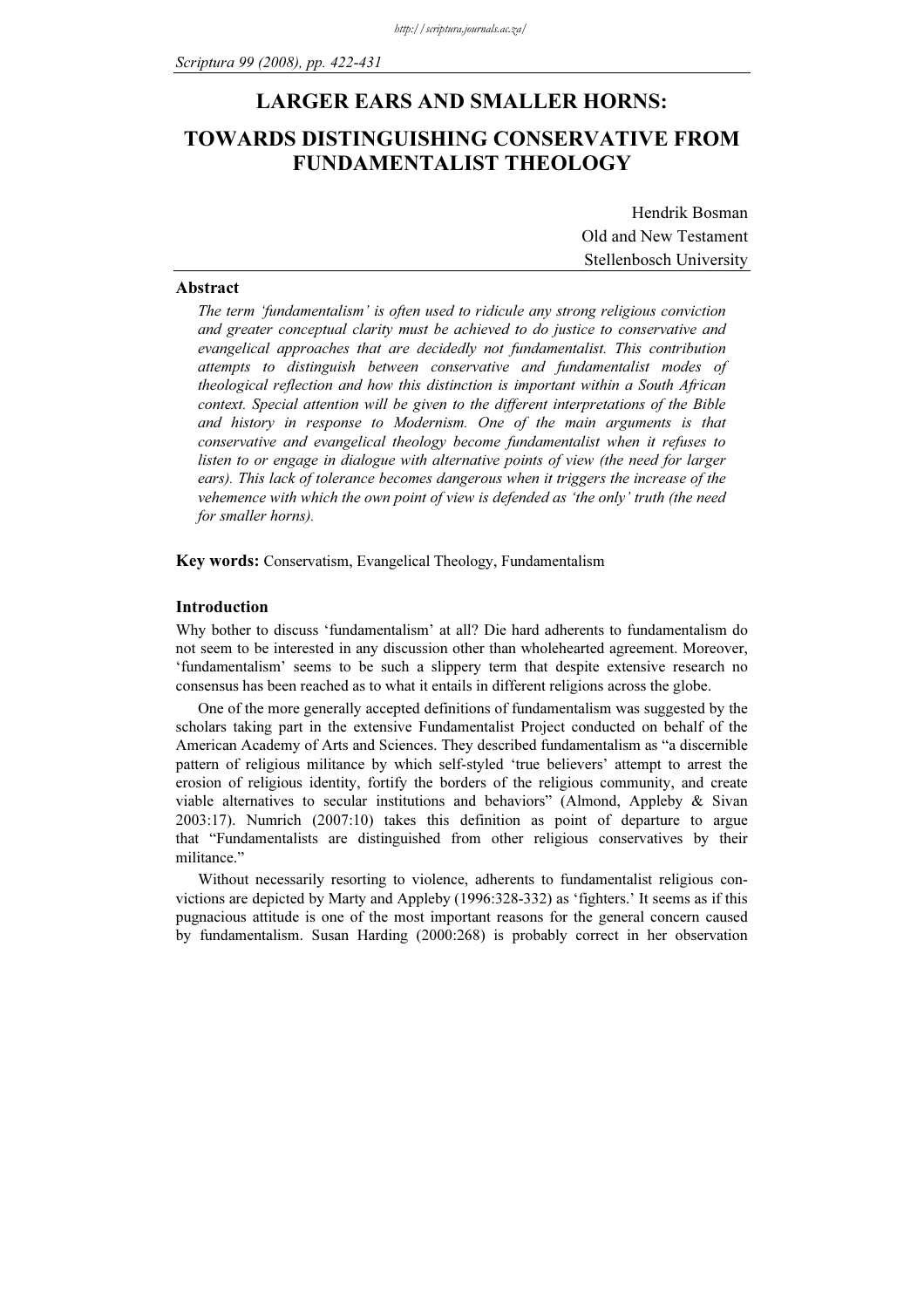# LARGER EARS AND SMALLER HORNS: TOWARDS DISTINGUISHING CONSERVATIVE FROM FUNDAMENTALIST THEOLOGY

Hendrik Bosman Old and New Testament Stellenbosch University

### Abstract

The term 'fundamentalism' is often used to ridicule any strong religious conviction and greater conceptual clarity must be achieved to do justice to conservative and evangelical approaches that are decidedly not fundamentalist. This contribution attempts to distinguish between conservative and fundamentalist modes of theological reflection and how this distinction is important within a South African context. Special attention will be given to the different interpretations of the Bible and history in response to Modernism. One of the main arguments is that conservative and evangelical theology become fundamentalist when it refuses to listen to or engage in dialogue with alternative points of view (the need for larger ears). This lack of tolerance becomes dangerous when it triggers the increase of the vehemence with which the own point of view is defended as 'the only' truth (the need for smaller horns).

Key words: Conservatism, Evangelical Theology, Fundamentalism

# Introduction

Why bother to discuss 'fundamentalism' at all? Die hard adherents to fundamentalism do not seem to be interested in any discussion other than wholehearted agreement. Moreover, 'fundamentalism' seems to be such a slippery term that despite extensive research no consensus has been reached as to what it entails in different religions across the globe.

One of the more generally accepted definitions of fundamentalism was suggested by the scholars taking part in the extensive Fundamentalist Project conducted on behalf of the American Academy of Arts and Sciences. They described fundamentalism as "a discernible pattern of religious militance by which self-styled 'true believers' attempt to arrest the erosion of religious identity, fortify the borders of the religious community, and create viable alternatives to secular institutions and behaviors" (Almond, Appleby & Sivan 2003:17). Numrich (2007:10) takes this definition as point of departure to argue that "Fundamentalists are distinguished from other religious conservatives by their militance."

Without necessarily resorting to violence, adherents to fundamentalist religious convictions are depicted by Marty and Appleby (1996:328-332) as 'fighters.' It seems as if this pugnacious attitude is one of the most important reasons for the general concern caused by fundamentalism. Susan Harding (2000:268) is probably correct in her observation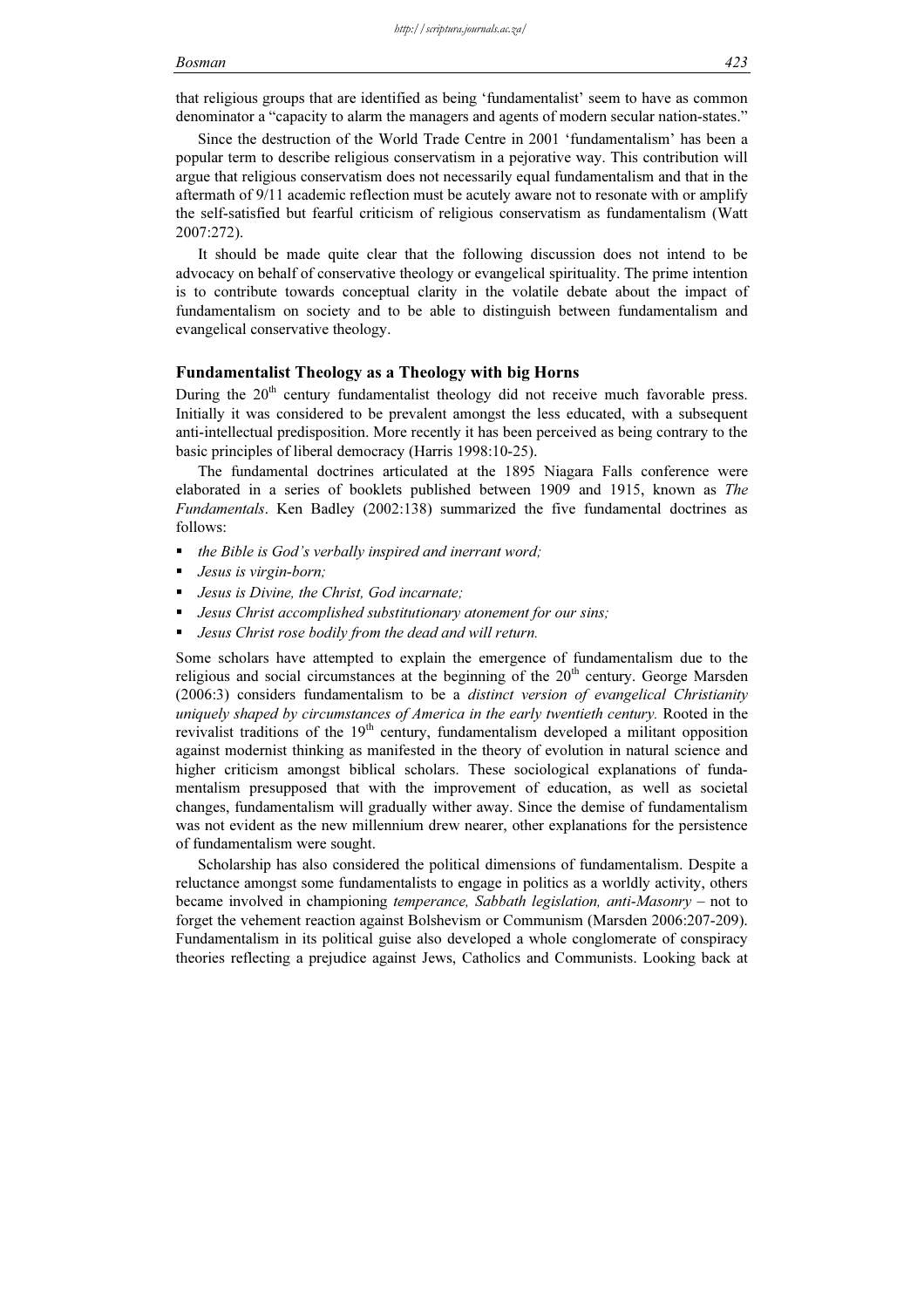#### Bosman 423

that religious groups that are identified as being 'fundamentalist' seem to have as common denominator a "capacity to alarm the managers and agents of modern secular nation-states."

Since the destruction of the World Trade Centre in 2001 'fundamentalism' has been a popular term to describe religious conservatism in a pejorative way. This contribution will argue that religious conservatism does not necessarily equal fundamentalism and that in the aftermath of 9/11 academic reflection must be acutely aware not to resonate with or amplify the self-satisfied but fearful criticism of religious conservatism as fundamentalism (Watt 2007:272).

It should be made quite clear that the following discussion does not intend to be advocacy on behalf of conservative theology or evangelical spirituality. The prime intention is to contribute towards conceptual clarity in the volatile debate about the impact of fundamentalism on society and to be able to distinguish between fundamentalism and evangelical conservative theology.

# Fundamentalist Theology as a Theology with big Horns

During the 20<sup>th</sup> century fundamentalist theology did not receive much favorable press. Initially it was considered to be prevalent amongst the less educated, with a subsequent anti-intellectual predisposition. More recently it has been perceived as being contrary to the basic principles of liberal democracy (Harris 1998:10-25).

The fundamental doctrines articulated at the 1895 Niagara Falls conference were elaborated in a series of booklets published between 1909 and 1915, known as The Fundamentals. Ken Badley (2002:138) summarized the five fundamental doctrines as follows:

- $\blacksquare$  the Bible is God's verbally inspired and inerrant word;
- Jesus is virgin-born;
- Jesus is Divine, the Christ, God incarnate;
- Jesus Christ accomplished substitutionary atonement for our sins;
- Jesus Christ rose bodily from the dead and will return.

Some scholars have attempted to explain the emergence of fundamentalism due to the religious and social circumstances at the beginning of the 20<sup>th</sup> century. George Marsden (2006:3) considers fundamentalism to be a distinct version of evangelical Christianity uniquely shaped by circumstances of America in the early twentieth century. Rooted in the revivalist traditions of the  $19<sup>th</sup>$  century, fundamentalism developed a militant opposition against modernist thinking as manifested in the theory of evolution in natural science and higher criticism amongst biblical scholars. These sociological explanations of fundamentalism presupposed that with the improvement of education, as well as societal changes, fundamentalism will gradually wither away. Since the demise of fundamentalism was not evident as the new millennium drew nearer, other explanations for the persistence of fundamentalism were sought.

Scholarship has also considered the political dimensions of fundamentalism. Despite a reluctance amongst some fundamentalists to engage in politics as a worldly activity, others became involved in championing temperance, Sabbath legislation, anti-Masonry – not to forget the vehement reaction against Bolshevism or Communism (Marsden 2006:207-209). Fundamentalism in its political guise also developed a whole conglomerate of conspiracy theories reflecting a prejudice against Jews, Catholics and Communists. Looking back at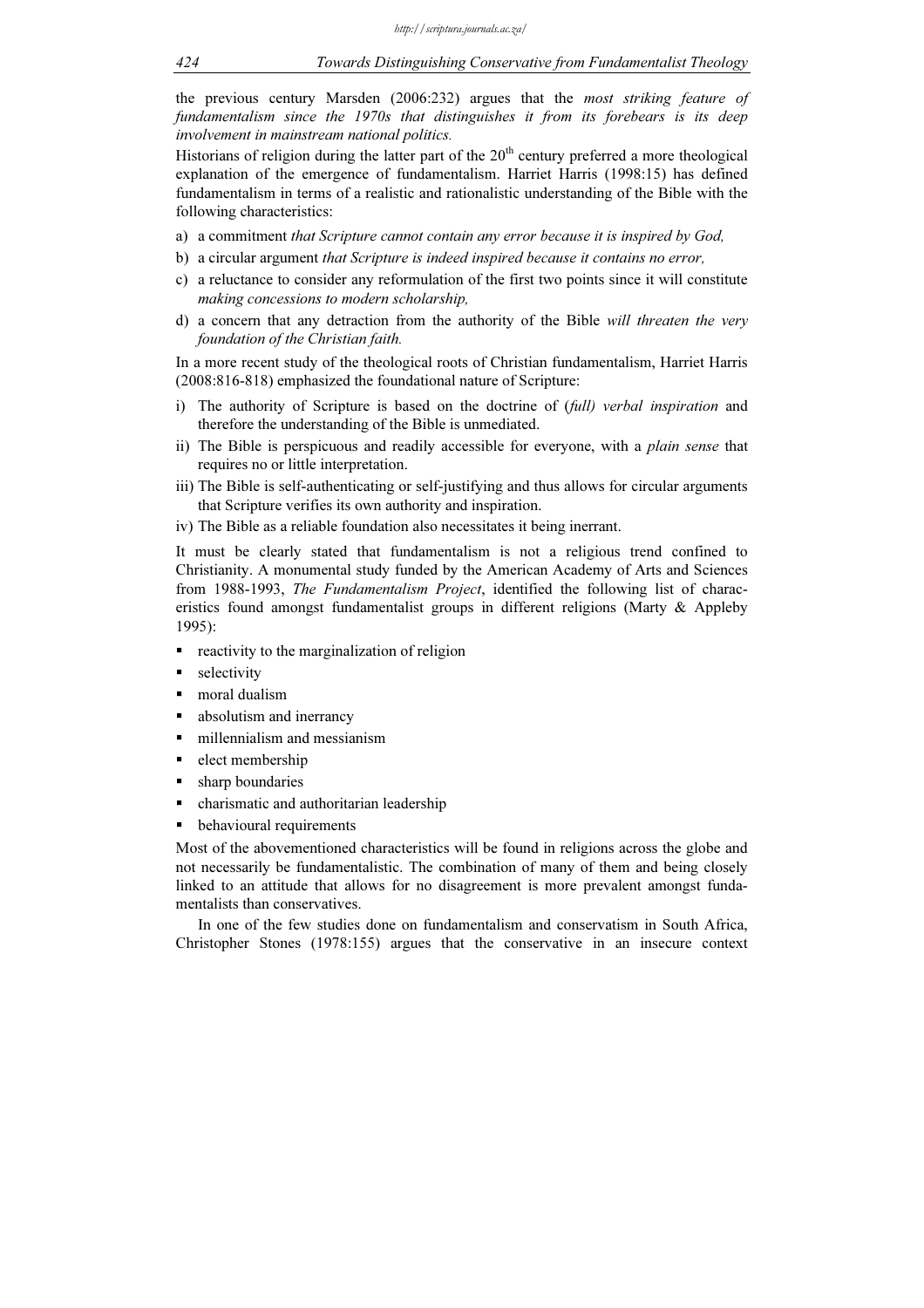the previous century Marsden (2006:232) argues that the *most striking feature of* fundamentalism since the 1970s that distinguishes it from its forebears is its deep involvement in mainstream national politics.

Historians of religion during the latter part of the  $20<sup>th</sup>$  century preferred a more theological explanation of the emergence of fundamentalism. Harriet Harris (1998:15) has defined fundamentalism in terms of a realistic and rationalistic understanding of the Bible with the following characteristics:

- a) a commitment that Scripture cannot contain any error because it is inspired by God,
- b) a circular argument that Scripture is indeed inspired because it contains no error,
- c) a reluctance to consider any reformulation of the first two points since it will constitute making concessions to modern scholarship,
- d) a concern that any detraction from the authority of the Bible will threaten the very foundation of the Christian faith.

In a more recent study of the theological roots of Christian fundamentalism, Harriet Harris (2008:816-818) emphasized the foundational nature of Scripture:

- i) The authority of Scripture is based on the doctrine of (full) verbal inspiration and therefore the understanding of the Bible is unmediated.
- ii) The Bible is perspicuous and readily accessible for everyone, with a *plain sense* that requires no or little interpretation.
- iii) The Bible is self-authenticating or self-justifying and thus allows for circular arguments that Scripture verifies its own authority and inspiration.
- iv) The Bible as a reliable foundation also necessitates it being inerrant.

It must be clearly stated that fundamentalism is not a religious trend confined to Christianity. A monumental study funded by the American Academy of Arts and Sciences from 1988-1993, The Fundamentalism Project, identified the following list of characeristics found amongst fundamentalist groups in different religions (Marty & Appleby 1995):

- **•** reactivity to the marginalization of religion
- selectivity
- moral dualism
- absolutism and inerrancy
- millennialism and messianism
- elect membership
- sharp boundaries
- charismatic and authoritarian leadership
- behavioural requirements

Most of the abovementioned characteristics will be found in religions across the globe and not necessarily be fundamentalistic. The combination of many of them and being closely linked to an attitude that allows for no disagreement is more prevalent amongst fundamentalists than conservatives.

In one of the few studies done on fundamentalism and conservatism in South Africa, Christopher Stones (1978:155) argues that the conservative in an insecure context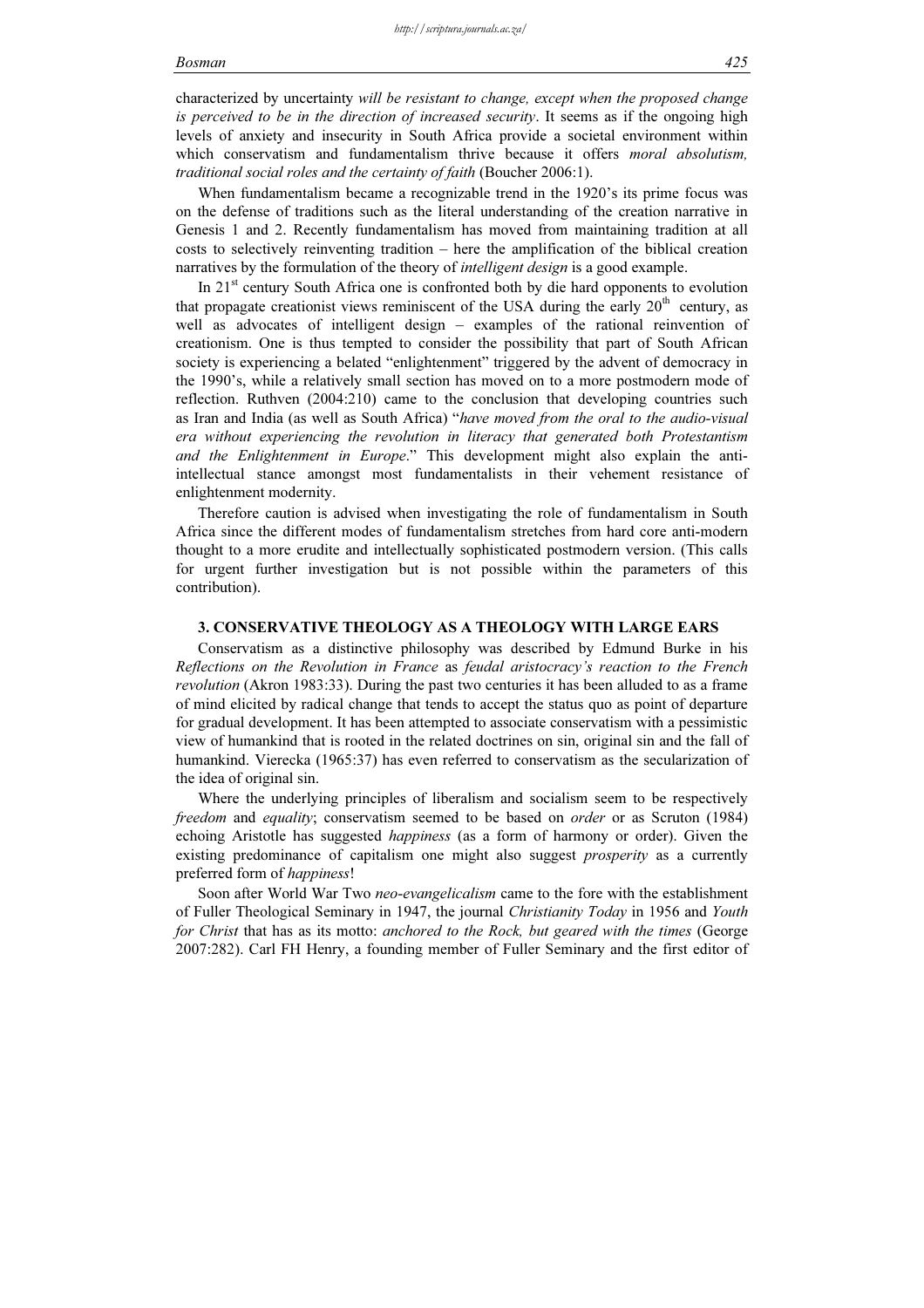#### Bosman 425

characterized by uncertainty will be resistant to change, except when the proposed change is perceived to be in the direction of increased security. It seems as if the ongoing high levels of anxiety and insecurity in South Africa provide a societal environment within which conservatism and fundamentalism thrive because it offers *moral absolutism*, traditional social roles and the certainty of faith (Boucher 2006:1).

When fundamentalism became a recognizable trend in the 1920's its prime focus was on the defense of traditions such as the literal understanding of the creation narrative in Genesis 1 and 2. Recently fundamentalism has moved from maintaining tradition at all costs to selectively reinventing tradition – here the amplification of the biblical creation narratives by the formulation of the theory of *intelligent design* is a good example.

In 21st century South Africa one is confronted both by die hard opponents to evolution that propagate creationist views reminiscent of the USA during the early  $20<sup>th</sup>$  century, as well as advocates of intelligent design – examples of the rational reinvention of creationism. One is thus tempted to consider the possibility that part of South African society is experiencing a belated "enlightenment" triggered by the advent of democracy in the 1990's, while a relatively small section has moved on to a more postmodern mode of reflection. Ruthven (2004:210) came to the conclusion that developing countries such as Iran and India (as well as South Africa) "have moved from the oral to the audio-visual era without experiencing the revolution in literacy that generated both Protestantism and the Enlightenment in Europe." This development might also explain the antiintellectual stance amongst most fundamentalists in their vehement resistance of enlightenment modernity.

Therefore caution is advised when investigating the role of fundamentalism in South Africa since the different modes of fundamentalism stretches from hard core anti-modern thought to a more erudite and intellectually sophisticated postmodern version. (This calls for urgent further investigation but is not possible within the parameters of this contribution).

### 3. CONSERVATIVE THEOLOGY AS A THEOLOGY WITH LARGE EARS

Conservatism as a distinctive philosophy was described by Edmund Burke in his Reflections on the Revolution in France as feudal aristocracy's reaction to the French revolution (Akron 1983:33). During the past two centuries it has been alluded to as a frame of mind elicited by radical change that tends to accept the status quo as point of departure for gradual development. It has been attempted to associate conservatism with a pessimistic view of humankind that is rooted in the related doctrines on sin, original sin and the fall of humankind. Vierecka (1965:37) has even referred to conservatism as the secularization of the idea of original sin.

Where the underlying principles of liberalism and socialism seem to be respectively freedom and equality; conservatism seemed to be based on order or as Scruton (1984) echoing Aristotle has suggested happiness (as a form of harmony or order). Given the existing predominance of capitalism one might also suggest *prosperity* as a currently preferred form of happiness!

Soon after World War Two neo-evangelicalism came to the fore with the establishment of Fuller Theological Seminary in 1947, the journal Christianity Today in 1956 and Youth for Christ that has as its motto: anchored to the Rock, but geared with the times (George 2007:282). Carl FH Henry, a founding member of Fuller Seminary and the first editor of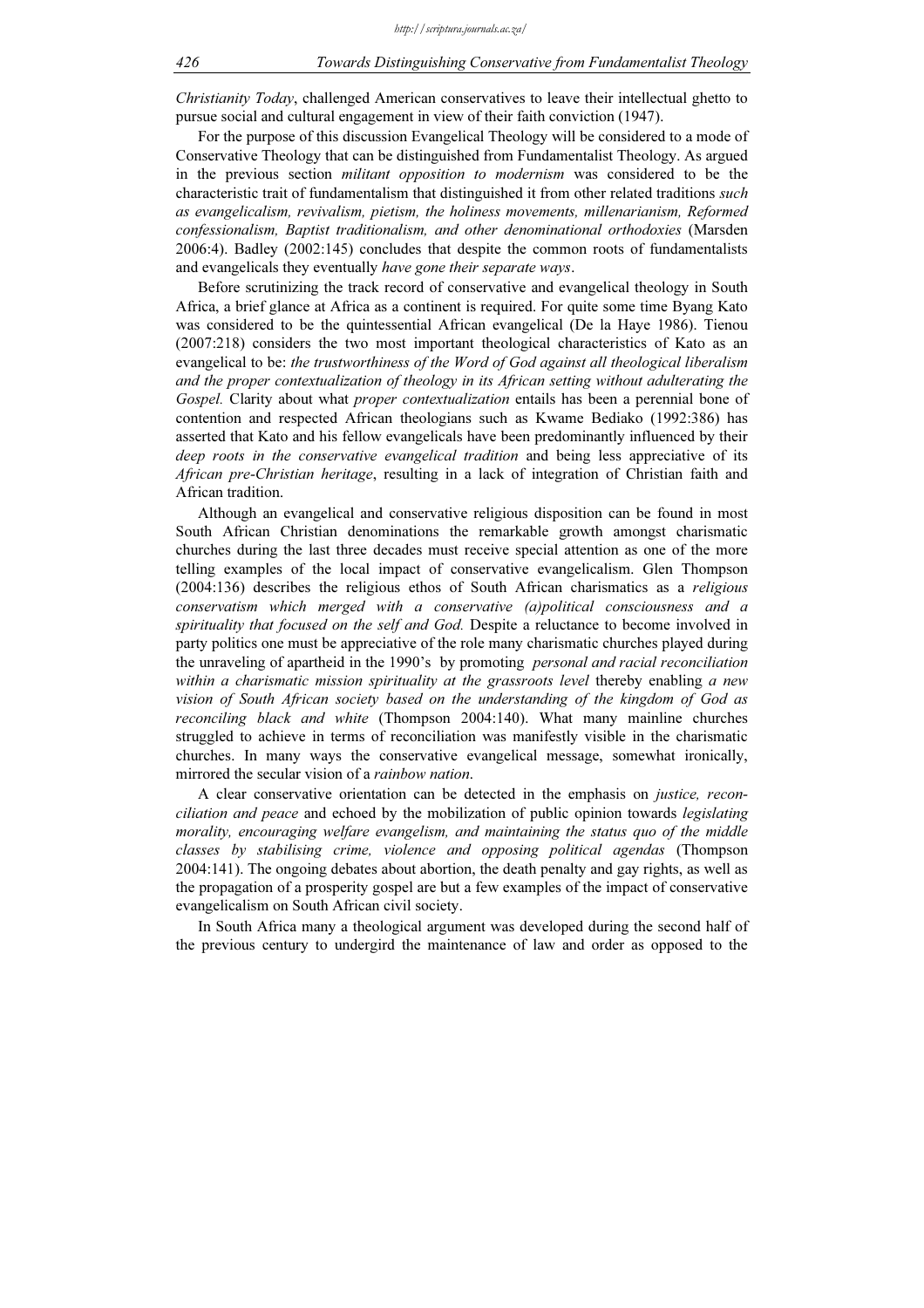Christianity Today, challenged American conservatives to leave their intellectual ghetto to pursue social and cultural engagement in view of their faith conviction (1947).

For the purpose of this discussion Evangelical Theology will be considered to a mode of Conservative Theology that can be distinguished from Fundamentalist Theology. As argued in the previous section *militant opposition to modernism* was considered to be the characteristic trait of fundamentalism that distinguished it from other related traditions such as evangelicalism, revivalism, pietism, the holiness movements, millenarianism, Reformed confessionalism, Baptist traditionalism, and other denominational orthodoxies (Marsden 2006:4). Badley (2002:145) concludes that despite the common roots of fundamentalists and evangelicals they eventually have gone their separate ways.

Before scrutinizing the track record of conservative and evangelical theology in South Africa, a brief glance at Africa as a continent is required. For quite some time Byang Kato was considered to be the quintessential African evangelical (De la Haye 1986). Tienou (2007:218) considers the two most important theological characteristics of Kato as an evangelical to be: the trustworthiness of the Word of God against all theological liberalism and the proper contextualization of theology in its African setting without adulterating the Gospel. Clarity about what *proper contextualization* entails has been a perennial bone of contention and respected African theologians such as Kwame Bediako (1992:386) has asserted that Kato and his fellow evangelicals have been predominantly influenced by their deep roots in the conservative evangelical tradition and being less appreciative of its African pre-Christian heritage, resulting in a lack of integration of Christian faith and African tradition.

Although an evangelical and conservative religious disposition can be found in most South African Christian denominations the remarkable growth amongst charismatic churches during the last three decades must receive special attention as one of the more telling examples of the local impact of conservative evangelicalism. Glen Thompson (2004:136) describes the religious ethos of South African charismatics as a religious conservatism which merged with a conservative (a)political consciousness and a spirituality that focused on the self and God. Despite a reluctance to become involved in party politics one must be appreciative of the role many charismatic churches played during the unraveling of apartheid in the 1990's by promoting personal and racial reconciliation within a charismatic mission spirituality at the grassroots level thereby enabling a new vision of South African society based on the understanding of the kingdom of God as reconciling black and white (Thompson 2004:140). What many mainline churches struggled to achieve in terms of reconciliation was manifestly visible in the charismatic churches. In many ways the conservative evangelical message, somewhat ironically, mirrored the secular vision of a *rainbow nation*.

A clear conservative orientation can be detected in the emphasis on justice, reconciliation and peace and echoed by the mobilization of public opinion towards legislating morality, encouraging welfare evangelism, and maintaining the status quo of the middle classes by stabilising crime, violence and opposing political agendas (Thompson 2004:141). The ongoing debates about abortion, the death penalty and gay rights, as well as the propagation of a prosperity gospel are but a few examples of the impact of conservative evangelicalism on South African civil society.

In South Africa many a theological argument was developed during the second half of the previous century to undergird the maintenance of law and order as opposed to the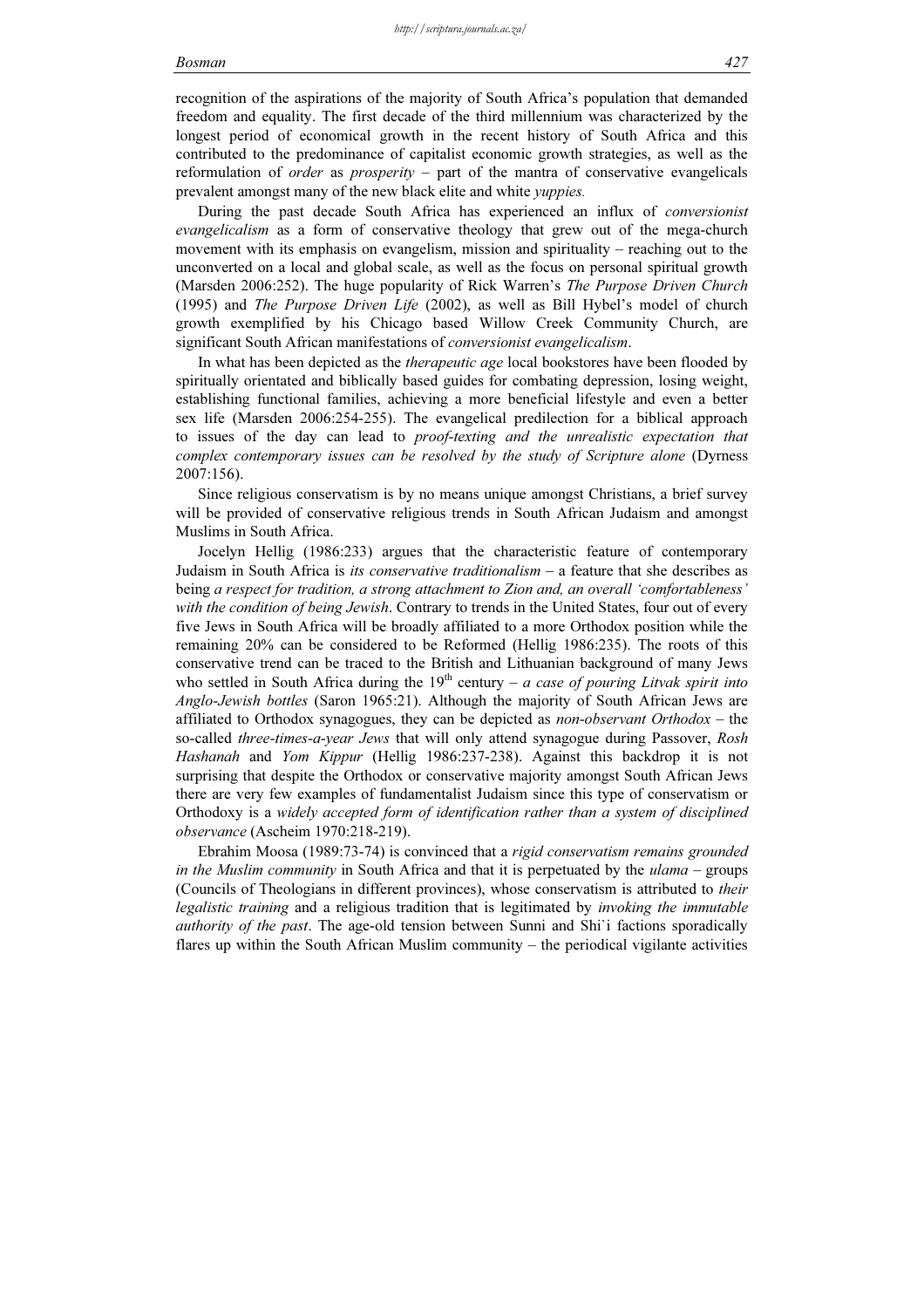recognition of the aspirations of the majority of South Africa's population that demanded freedom and equality. The first decade of the third millennium was characterized by the longest period of economical growth in the recent history of South Africa and this contributed to the predominance of capitalist economic growth strategies, as well as the reformulation of *order* as *prosperity* – part of the mantra of conservative evangelicals prevalent amongst many of the new black elite and white yuppies.

During the past decade South Africa has experienced an influx of conversionist evangelicalism as a form of conservative theology that grew out of the mega-church movement with its emphasis on evangelism, mission and spirituality – reaching out to the unconverted on a local and global scale, as well as the focus on personal spiritual growth (Marsden 2006:252). The huge popularity of Rick Warren's *The Purpose Driven Church* (1995) and The Purpose Driven Life (2002), as well as Bill Hybel's model of church growth exemplified by his Chicago based Willow Creek Community Church, are significant South African manifestations of *conversionist evangelicalism*.

In what has been depicted as the *therapeutic age* local bookstores have been flooded by spiritually orientated and biblically based guides for combating depression, losing weight, establishing functional families, achieving a more beneficial lifestyle and even a better sex life (Marsden 2006:254-255). The evangelical predilection for a biblical approach to issues of the day can lead to proof-texting and the unrealistic expectation that complex contemporary issues can be resolved by the study of Scripture alone (Dyrness 2007:156).

Since religious conservatism is by no means unique amongst Christians, a brief survey will be provided of conservative religious trends in South African Judaism and amongst Muslims in South Africa.

Jocelyn Hellig (1986:233) argues that the characteristic feature of contemporary Judaism in South Africa is *its conservative traditionalism*  $-$  a feature that she describes as being a respect for tradition, a strong attachment to Zion and, an overall 'comfortableness' with the condition of being Jewish. Contrary to trends in the United States, four out of every five Jews in South Africa will be broadly affiliated to a more Orthodox position while the remaining 20% can be considered to be Reformed (Hellig 1986:235). The roots of this conservative trend can be traced to the British and Lithuanian background of many Jews who settled in South Africa during the  $19<sup>th</sup>$  century – a case of pouring Litvak spirit into Anglo-Jewish bottles (Saron 1965:21). Although the majority of South African Jews are affiliated to Orthodox synagogues, they can be depicted as *non-observant Orthodox* – the so-called three-times-a-year Jews that will only attend synagogue during Passover, Rosh Hashanah and Yom Kippur (Hellig 1986:237-238). Against this backdrop it is not surprising that despite the Orthodox or conservative majority amongst South African Jews there are very few examples of fundamentalist Judaism since this type of conservatism or Orthodoxy is a widely accepted form of identification rather than a system of disciplined observance (Ascheim 1970:218-219).

Ebrahim Moosa (1989:73-74) is convinced that a rigid conservatism remains grounded in the Muslim community in South Africa and that it is perpetuated by the *ulama* – groups (Councils of Theologians in different provinces), whose conservatism is attributed to their legalistic training and a religious tradition that is legitimated by *invoking the immutable* authority of the past. The age-old tension between Sunni and Shi`i factions sporadically flares up within the South African Muslim community – the periodical vigilante activities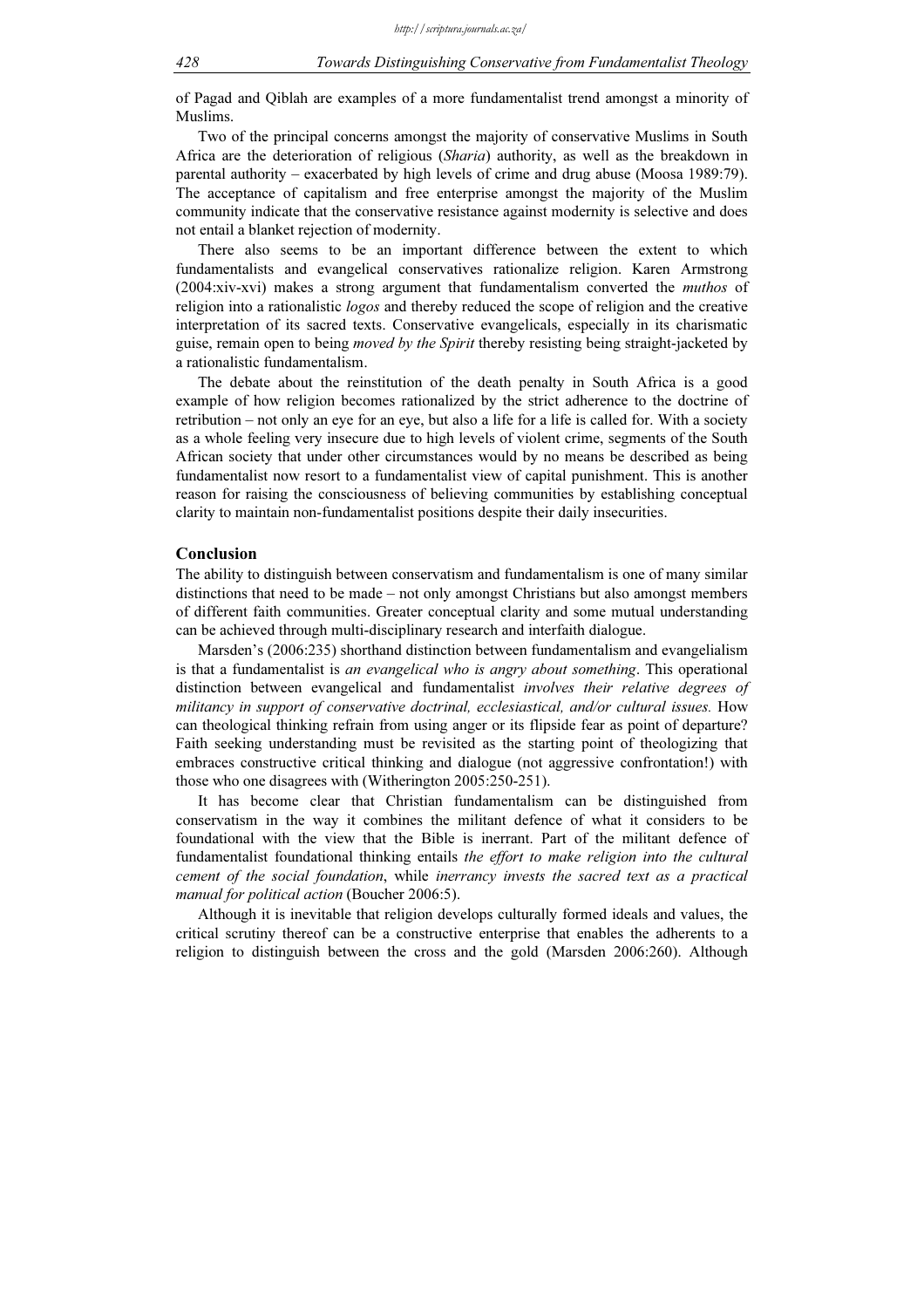of Pagad and Qiblah are examples of a more fundamentalist trend amongst a minority of Muslims.

Two of the principal concerns amongst the majority of conservative Muslims in South Africa are the deterioration of religious (Sharia) authority, as well as the breakdown in parental authority – exacerbated by high levels of crime and drug abuse (Moosa 1989:79). The acceptance of capitalism and free enterprise amongst the majority of the Muslim community indicate that the conservative resistance against modernity is selective and does not entail a blanket rejection of modernity.

There also seems to be an important difference between the extent to which fundamentalists and evangelical conservatives rationalize religion. Karen Armstrong (2004:xiv-xvi) makes a strong argument that fundamentalism converted the muthos of religion into a rationalistic *logos* and thereby reduced the scope of religion and the creative interpretation of its sacred texts. Conservative evangelicals, especially in its charismatic guise, remain open to being *moved by the Spirit* thereby resisting being straight-jacketed by a rationalistic fundamentalism.

The debate about the reinstitution of the death penalty in South Africa is a good example of how religion becomes rationalized by the strict adherence to the doctrine of retribution – not only an eye for an eye, but also a life for a life is called for. With a society as a whole feeling very insecure due to high levels of violent crime, segments of the South African society that under other circumstances would by no means be described as being fundamentalist now resort to a fundamentalist view of capital punishment. This is another reason for raising the consciousness of believing communities by establishing conceptual clarity to maintain non-fundamentalist positions despite their daily insecurities.

#### Conclusion

The ability to distinguish between conservatism and fundamentalism is one of many similar distinctions that need to be made – not only amongst Christians but also amongst members of different faith communities. Greater conceptual clarity and some mutual understanding can be achieved through multi-disciplinary research and interfaith dialogue.

Marsden's (2006:235) shorthand distinction between fundamentalism and evangelialism is that a fundamentalist is *an evangelical who is angry about something*. This operational distinction between evangelical and fundamentalist involves their relative degrees of militancy in support of conservative doctrinal, ecclesiastical, and/or cultural issues. How can theological thinking refrain from using anger or its flipside fear as point of departure? Faith seeking understanding must be revisited as the starting point of theologizing that embraces constructive critical thinking and dialogue (not aggressive confrontation!) with those who one disagrees with (Witherington 2005:250-251).

It has become clear that Christian fundamentalism can be distinguished from conservatism in the way it combines the militant defence of what it considers to be foundational with the view that the Bible is inerrant. Part of the militant defence of fundamentalist foundational thinking entails the effort to make religion into the cultural cement of the social foundation, while inerrancy invests the sacred text as a practical manual for political action (Boucher 2006:5).

Although it is inevitable that religion develops culturally formed ideals and values, the critical scrutiny thereof can be a constructive enterprise that enables the adherents to a religion to distinguish between the cross and the gold (Marsden 2006:260). Although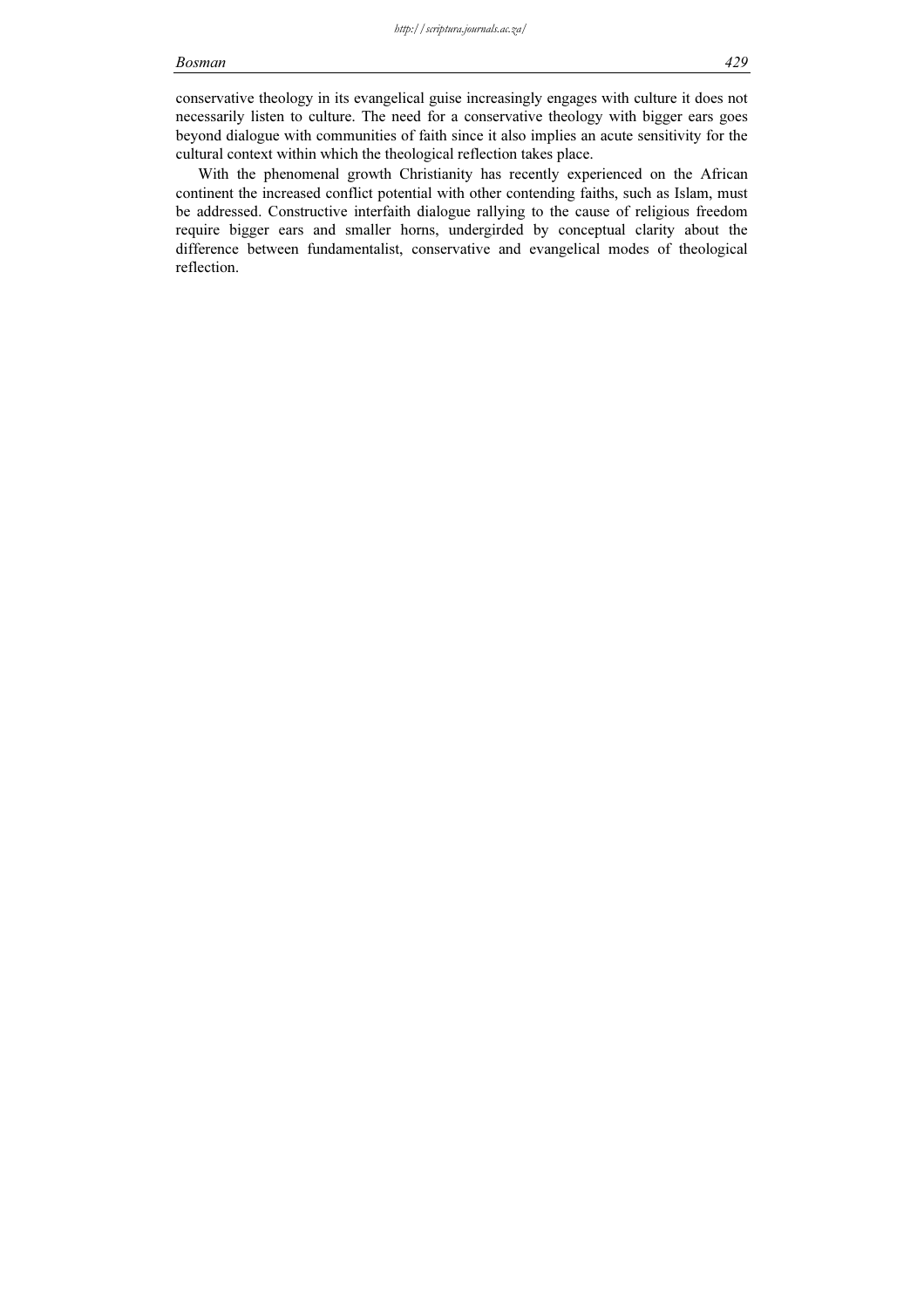#### Bosman 429

conservative theology in its evangelical guise increasingly engages with culture it does not necessarily listen to culture. The need for a conservative theology with bigger ears goes beyond dialogue with communities of faith since it also implies an acute sensitivity for the cultural context within which the theological reflection takes place.

With the phenomenal growth Christianity has recently experienced on the African continent the increased conflict potential with other contending faiths, such as Islam, must be addressed. Constructive interfaith dialogue rallying to the cause of religious freedom require bigger ears and smaller horns, undergirded by conceptual clarity about the difference between fundamentalist, conservative and evangelical modes of theological reflection.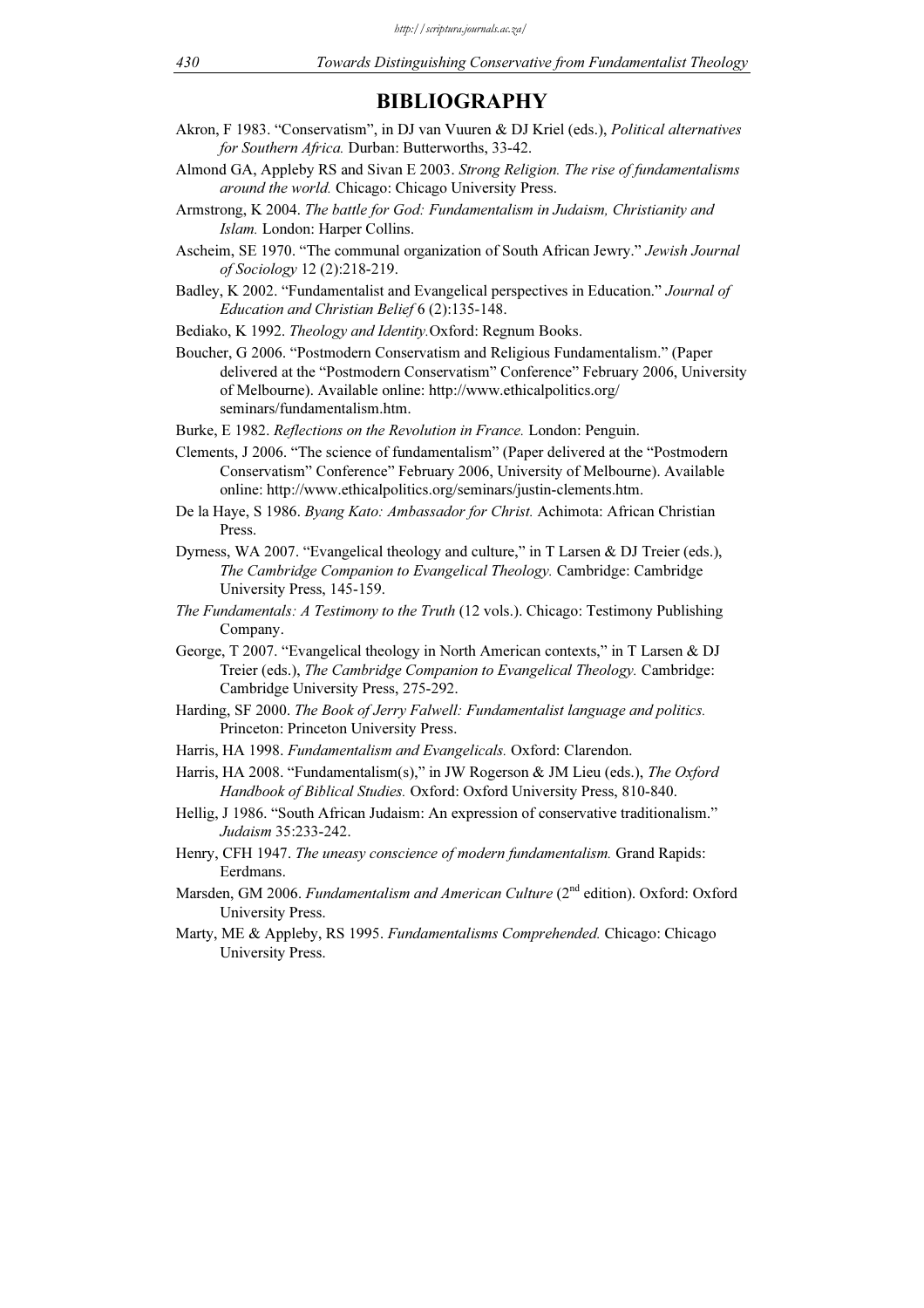# BIBLIOGRAPHY

- Akron, F 1983. "Conservatism", in DJ van Vuuren & DJ Kriel (eds.), Political alternatives for Southern Africa. Durban: Butterworths, 33-42.
- Almond GA, Appleby RS and Sivan E 2003. Strong Religion. The rise of fundamentalisms around the world. Chicago: Chicago University Press.
- Armstrong, K 2004. The battle for God: Fundamentalism in Judaism, Christianity and Islam. London: Harper Collins.
- Ascheim, SE 1970. "The communal organization of South African Jewry." Jewish Journal of Sociology 12 (2):218-219.
- Badley, K 2002. "Fundamentalist and Evangelical perspectives in Education." Journal of Education and Christian Belief 6 (2):135-148.
- Bediako, K 1992. Theology and Identity.Oxford: Regnum Books.
- Boucher, G 2006. "Postmodern Conservatism and Religious Fundamentalism." (Paper delivered at the "Postmodern Conservatism" Conference" February 2006, University of Melbourne). Available online: http://www.ethicalpolitics.org/ seminars/fundamentalism.htm.
- Burke, E 1982. Reflections on the Revolution in France. London: Penguin.
- Clements, J 2006. "The science of fundamentalism" (Paper delivered at the "Postmodern Conservatism" Conference" February 2006, University of Melbourne). Available online: http://www.ethicalpolitics.org/seminars/justin-clements.htm.
- De la Haye, S 1986. Byang Kato: Ambassador for Christ. Achimota: African Christian Press.
- Dyrness, WA 2007. "Evangelical theology and culture," in T Larsen & DJ Treier (eds.), The Cambridge Companion to Evangelical Theology. Cambridge: Cambridge University Press, 145-159.
- The Fundamentals: A Testimony to the Truth (12 vols.). Chicago: Testimony Publishing Company.
- George, T 2007. "Evangelical theology in North American contexts," in T Larsen & DJ Treier (eds.), The Cambridge Companion to Evangelical Theology. Cambridge: Cambridge University Press, 275-292.
- Harding, SF 2000. The Book of Jerry Falwell: Fundamentalist language and politics. Princeton: Princeton University Press.
- Harris, HA 1998. Fundamentalism and Evangelicals. Oxford: Clarendon.
- Harris, HA 2008. "Fundamentalism(s)," in JW Rogerson & JM Lieu (eds.), The Oxford Handbook of Biblical Studies. Oxford: Oxford University Press, 810-840.
- Hellig, J 1986. "South African Judaism: An expression of conservative traditionalism." Judaism 35:233-242.
- Henry, CFH 1947. The uneasy conscience of modern fundamentalism. Grand Rapids: Eerdmans.
- Marsden, GM 2006. Fundamentalism and American Culture (2<sup>nd</sup> edition). Oxford: Oxford University Press.
- Marty, ME & Appleby, RS 1995. Fundamentalisms Comprehended. Chicago: Chicago University Press.